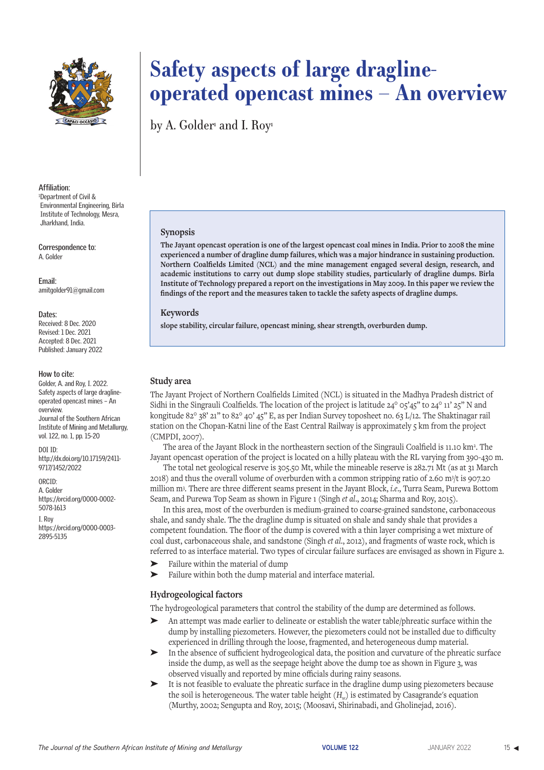

**Affiliation:** 1 Department of Civil & Environmental Engineering, Birla Institute of Technology, Mesra, Jharkhand, India.

**Correspondence to:** A. Golder

**Email:** amitgolder91@gmail.com

#### **Dates:**

Received: 8 Dec. 2020 Revised: 1 Dec. 2021 Accepted: 8 Dec. 2021 Published: January 2022

#### **How to cite:**

Golder, A. and Roy, I. 2022. Safety aspects of large draglineoperated opencast mines – An overview. Journal of the Southern African Institute of Mining and Metallurgy, vol. 122, no. 1, pp. 15-20

DOI ID:

http://dx.doi.org/10.17159/2411- 9717/1452/2022

## ORCID:

A. Golder https://orcid.org/0000-0002- 5078-1613 I. Roy

https://orcid.org/0000-0003- 2895-5135

# **Safety aspects of large draglineoperated opencast mines – An overview**

by A. Golder<sup>1</sup> and I. Roy<sup>1</sup>

#### **Synopsis**

**The Jayant opencast operation is one of the largest opencast coal mines in India. Prior to 2008 the mine experienced a number of dragline dump failures, which was a major hindrance in sustaining production. Northern Coalfields Limited (NCL) and the mine management engaged several design, research, and academic institutions to carry out dump slope stability studies, particularly of dragline dumps. Birla Institute of Technology prepared a report on the investigations in May 2009. In this paper we review the findings of the report and the measures taken to tackle the safety aspects of dragline dumps.**

#### **Keywords**

**slope stability, circular failure, opencast mining, shear strength, overburden dump.**

## **Study area**

The Jayant Project of Northern Coalfields Limited (NCL) is situated in the Madhya Pradesh district of Sidhi in the Singrauli Coalfields. The location of the project is latitude  $24^{\circ}$  o5'45" to  $24^{\circ}$  11'  $25$ " N and kongitude 82° 38' 21" to 82° 40' 45" E, as per Indian Survey toposheet no. 63 L/12. The Shaktinagar rail station on the Chopan-Katni line of the East Central Railway is approximately  $\varsigma$  km from the project (CMPDI, 2007).

The area of the Jayant Block in the northeastern section of the Singrauli Coalfield is 11.10 km2. The Jayant opencast operation of the project is located on a hilly plateau with the RL varying from 390-430 m.

The total net geological reserve is 305.50 Mt, while the mineable reserve is 282.71 Mt (as at 31 March 2018) and thus the overall volume of overburden with a common stripping ratio of 2.60 m3 /t is 907.20 million m3 . There are three different seams present in the Jayant Block, *i.e*., Turra Seam, Purewa Bottom Seam, and Purewa Top Seam as shown in Figure 1 (Singh *et al*., 2014; Sharma and Roy, 2015).

In this area, most of the overburden is medium-grained to coarse-grained sandstone, carbonaceous shale, and sandy shale. The the dragline dump is situated on shale and sandy shale that provides a competent foundation. The floor of the dump is covered with a thin layer comprising a wet mixture of coal dust, carbonaceous shale, and sandstone (Singh *et al*., 2012), and fragments of waste rock, which is referred to as interface material. Two types of circular failure surfaces are envisaged as shown in Figure 2.

- Failure within the material of dump
- Failure within both the dump material and interface material.

#### **Hydrogeological factors**

The hydrogeological parameters that control the stability of the dump are determined as follows.

- An attempt was made earlier to delineate or establish the water table/phreatic surface within the dump by installing piezometers. However, the piezometers could not be installed due to difficulty experienced in drilling through the loose, fragmented, and heterogeneous dump material.
- In the absence of sufficient hydrogeological data, the position and curvature of the phreatic surface inside the dump, as well as the seepage height above the dump toe as shown in Figure 3, was observed visually and reported by mine officials during rainy seasons.
- ➤ It is not feasible to evaluate the phreatic surface in the dragline dump using piezometers because the soil is heterogeneous. The water table height (*H<sub>w</sub>*) is estimated by Casagrande's equation (Murthy, 2002; Sengupta and Roy, 2015; (Moosavi, Shirinabadi, and Gholinejad, 2016).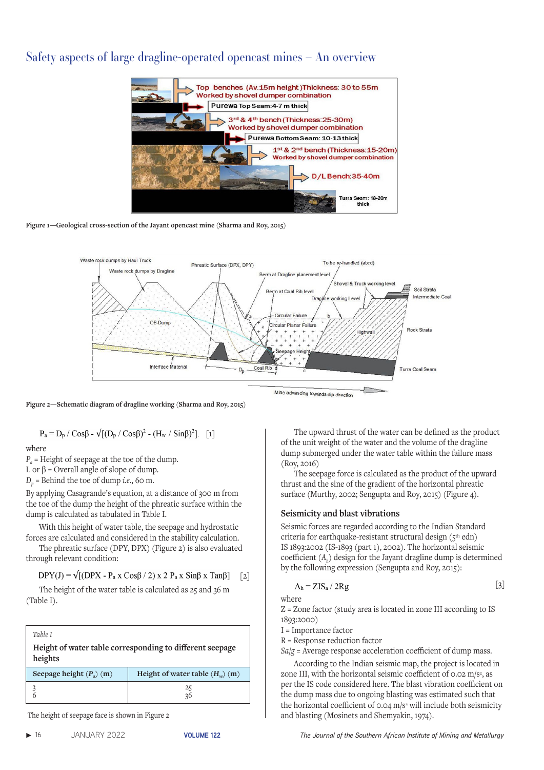# Safety aspects of large dragline-operated opencast mines – An overview



**Figure 1—Geological cross-section of the Jayant opencast mine (Sharma and Roy, 2015)**



**Figure 2—Schematic diagram of dragline working (Sharma and Roy, 2015)** 

$$
P_a = D_p / \cos\beta - \sqrt{[(D_p / \cos\beta)^2 - (H_w / \sin\beta)^2]}.
$$
 [1]

where

*P<sub>a</sub>* = Height of seepage at the toe of the dump.

L or  $\beta$  = Overall angle of slope of dump.

 $D_n$  = Behind the toe of dump *i.e.*, 60 m.

By applying Casagrande's equation, at a distance of 300 m from the toe of the dump the height of the phreatic surface within the dump is calculated as tabulated in Table I.

With this height of water table, the seepage and hydrostatic forces are calculated and considered in the stability calculation.

The phreatic surface (DPY, DPX) (Figure 2) is also evaluated through relevant condition:

 $DPY(J) = \sqrt{[(DPX - P_a x Cos\beta / 2) x 2 P_a x Sin\beta x Tan\beta]}$  $\lceil 2 \rceil$ 

The height of the water table is calculated as 25 and 36 m (Table I).

| Table I<br>Height of water table corresponding to different seepage<br>heights |                                          |  |
|--------------------------------------------------------------------------------|------------------------------------------|--|
| Seepage height $(P_n)(m)$                                                      | Height of water table $(H_{\ldots})$ (m) |  |
|                                                                                | 25<br>36                                 |  |

The height of seepage face is shown in Figure 2

The upward thrust of the water can be defined as the product of the unit weight of the water and the volume of the dragline dump submerged under the water table within the failure mass (Roy, 2016)

The seepage force is calculated as the product of the upward thrust and the sine of the gradient of the horizontal phreatic surface (Murthy, 2002; Sengupta and Roy, 2015) (Figure 4).

#### **Seismicity and blast vibrations**

Seismic forces are regarded according to the Indian Standard criteria for earthquake-resistant structural design  $(5<sup>th</sup>$  edn) IS 1893:2002 (IS-1893 (part 1), 2002). The horizontal seismic coefficient (*Ah*) design for the Jayant dragline dump is determined by the following expression (Sengupta and Roy, 2015):

$$
A_h = ZIS_a / 2Rg
$$
 [3]

where

Z = Zone factor (study area is located in zone III according to IS 1893:2000)

I = Importance factor

R = Response reduction factor

*Sa*/*g* = Average response acceleration coefficient of dump mass.

According to the Indian seismic map, the project is located in zone III, with the horizontal seismic coefficient of 0.02 m/s<sup>2</sup>, as per the IS code considered here. The blast vibration coefficient on the dump mass due to ongoing blasting was estimated such that the horizontal coefficient of 0.04 m/s<sup>2</sup> will include both seismicity and blasting (Mosinets and Shemyakin, 1974).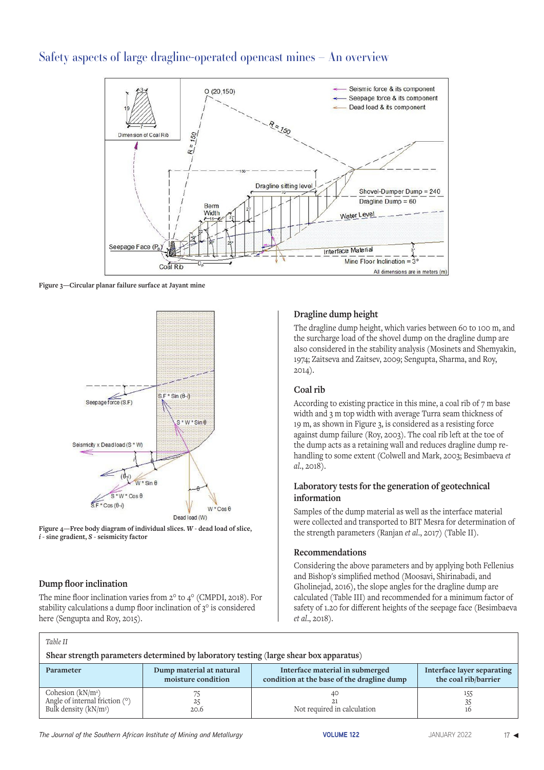# Safety aspects of large dragline-operated opencast mines – An overview



**Figure 3—Circular planar failure surface at Jayant mine** 



**Figure 4—Free body diagram of individual slices.** *W* **- dead load of slice,**  *i* **- sine gradient,** *S* **- seismicity factor** 

#### **Dump floor inclination**

 *Table II*

The mine floor inclination varies from 2° to 4° (CMPDI, 2018). For stability calculations a dump floor inclination of 3° is considered here (Sengupta and Roy, 2015).

#### **Dragline dump height**

The dragline dump height, which varies between 60 to 100 m, and the surcharge load of the shovel dump on the dragline dump are also considered in the stability analysis (Mosinets and Shemyakin, 1974; Zaitseva and Zaitsev, 2009; Sengupta, Sharma, and Roy, 2014).

## **Coal rib**

According to existing practice in this mine, a coal rib of 7 m base width and 3 m top width with average Turra seam thickness of 19 m, as shown in Figure 3, is considered as a resisting force against dump failure (Roy, 2003). The coal rib left at the toe of the dump acts as a retaining wall and reduces dragline dump rehandling to some extent (Colwell and Mark, 2003; Besimbaeva *et al*., 2018).

#### **Laboratory tests for the generation of geotechnical information**

Samples of the dump material as well as the interface material were collected and transported to BIT Mesra for determination of the strength parameters (Ranjan *et al*., 2017) (Table II).

#### **Recommendations**

Considering the above parameters and by applying both Fellenius and Bishop's simplified method (Moosavi, Shirinabadi, and Gholinejad, 2016), the slope angles for the dragline dump are calculated (Table III) and recommended for a minimum factor of safety of 1.20 for different heights of the seepage face (Besimbaeva *et al*., 2018).

| Table 11                                                                                    |                                                |                                                                               |                                                    |  |
|---------------------------------------------------------------------------------------------|------------------------------------------------|-------------------------------------------------------------------------------|----------------------------------------------------|--|
| Shear strength parameters determined by laboratory testing (large shear box apparatus)      |                                                |                                                                               |                                                    |  |
| Parameter                                                                                   | Dump material at natural<br>moisture condition | Interface material in submerged<br>condition at the base of the dragline dump | Interface layer separating<br>the coal rib/barrier |  |
| Cohesion $(kN/m2)$<br>Angle of internal friction $(°)$<br>Bulk density (kN/m <sup>3</sup> ) | 25<br>20.6                                     | AС.<br>Not required in calculation                                            | 155<br>35<br>16                                    |  |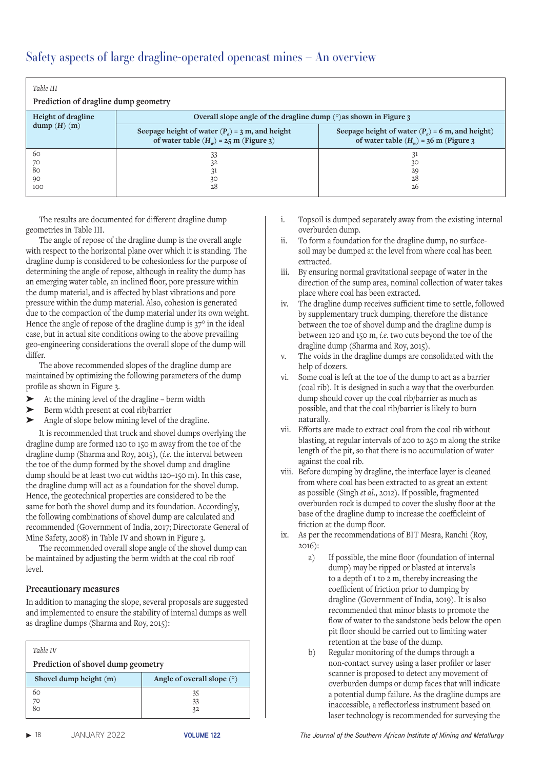| Table III<br>Prediction of dragline dump geometry |                                                                                               |                                                                                                |  |  |
|---------------------------------------------------|-----------------------------------------------------------------------------------------------|------------------------------------------------------------------------------------------------|--|--|
| Height of dragline                                | Overall slope angle of the dragline dump $(°)$ as shown in Figure 3                           |                                                                                                |  |  |
| dump(H)(m)                                        | Seepage height of water $(P_a) = 3$ m, and height<br>of water table $(H_w) = 25$ m (Figure 3) | Seepage height of water $(P_a)$ = 6 m, and height)<br>of water table $(H_w)$ = 36 m (Figure 3) |  |  |
| 60<br>70<br>80<br>90<br>100                       | 33<br>32<br>30<br>28                                                                          | 31<br>30<br>29<br>28<br>26                                                                     |  |  |

The results are documented for different dragline dump geometries in Table III.

The angle of repose of the dragline dump is the overall angle with respect to the horizontal plane over which it is standing. The dragline dump is considered to be cohesionless for the purpose of determining the angle of repose, although in reality the dump has an emerging water table, an inclined floor, pore pressure within the dump material, and is affected by blast vibrations and pore pressure within the dump material. Also, cohesion is generated due to the compaction of the dump material under its own weight. Hence the angle of repose of the dragline dump is 37° in the ideal case, but in actual site conditions owing to the above prevailing geo-engineering considerations the overall slope of the dump will differ.

The above recommended slopes of the dragline dump are maintained by optimizing the following parameters of the dump profile as shown in Figure 3.

- ➤ At the mining level of the dragline berm width
- Berm width present at coal rib/barrier
- ➤ Angle of slope below mining level of the dragline.

It is recommended that truck and shovel dumps overlying the dragline dump are formed 120 to 150 m away from the toe of the dragline dump (Sharma and Roy, 2015), (*i.e*. the interval between the toe of the dump formed by the shovel dump and dragline dump should be at least two cut widths 120–150 m). In this case, the dragline dump will act as a foundation for the shovel dump. Hence, the geotechnical properties are considered to be the same for both the shovel dump and its foundation. Accordingly, the following combinations of shovel dump are calculated and recommended (Government of India, 2017; Directorate General of Mine Safety, 2008) in Table IV and shown in Figure 3.

The recommended overall slope angle of the shovel dump can be maintained by adjusting the berm width at the coal rib roof level.

#### **Precautionary measures**

In addition to managing the slope, several proposals are suggested and implemented to ensure the stability of internal dumps as well as dragline dumps (Sharma and Roy, 2015):

| Table IV<br>Prediction of shovel dump geometry |                              |  |  |
|------------------------------------------------|------------------------------|--|--|
| Shovel dump height $(m)$                       | Angle of overall slope $(°)$ |  |  |
| 60                                             | 35                           |  |  |
| 70                                             | 33                           |  |  |
|                                                | 32                           |  |  |

- i. Topsoil is dumped separately away from the existing internal overburden dump.
- ii. To form a foundation for the dragline dump, no surfacesoil may be dumped at the level from where coal has been extracted.
- iii. By ensuring normal gravitational seepage of water in the direction of the sump area, nominal collection of water takes place where coal has been extracted.
- iv. The dragline dump receives sufficient time to settle, followed by supplementary truck dumping, therefore the distance between the toe of shovel dump and the dragline dump is between 120 and 150 m, *i.e*. two cuts beyond the toe of the dragline dump (Sharma and Roy, 2015).
- v. The voids in the dragline dumps are consolidated with the help of dozers.
- vi. Some coal is left at the toe of the dump to act as a barrier (coal rib). It is designed in such a way that the overburden dump should cover up the coal rib/barrier as much as possible, and that the coal rib/barrier is likely to burn naturally.
- vii. Efforts are made to extract coal from the coal rib without blasting, at regular intervals of 200 to 250 m along the strike length of the pit, so that there is no accumulation of water against the coal rib.
- viii. Before dumping by dragline, the interface layer is cleaned from where coal has been extracted to as great an extent as possible (Singh *et al*., 2012). If possible, fragmented overburden rock is dumped to cover the slushy floor at the base of the dragline dump to increase the coefficleint of friction at the dump floor.
- ix. As per the recommendations of BIT Mesra, Ranchi (Roy, 2016):
	- a) If possible, the mine floor (foundation of internal dump) may be ripped or blasted at intervals to a depth of 1 to 2 m, thereby increasing the coefficient of friction prior to dumping by dragline (Government of India, 2019). It is also recommended that minor blasts to promote the flow of water to the sandstone beds below the open pit floor should be carried out to limiting water retention at the base of the dump.
	- b) Regular monitoring of the dumps through a non-contact survey using a laser profiler or laser scanner is proposed to detect any movement of overburden dumps or dump faces that will indicate a potential dump failure. As the dragline dumps are inaccessible, a reflectorless instrument based on laser technology is recommended for surveying the